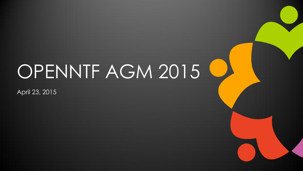# OPENNTF AGM 2015

April 23, 2015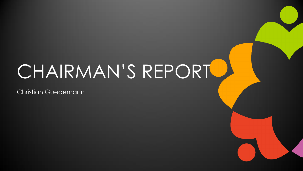# CHAIRMAN'S REPORT

Christian Guedemann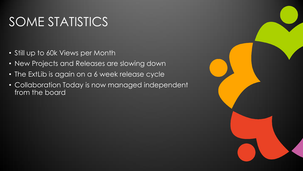# SOME STATISTICS

- Still up to 60k Views per Month
- New Projects and Releases are slowing down
- The ExtLib is again on a 6 week release cycle
- Collaboration Today is now managed independent from the board

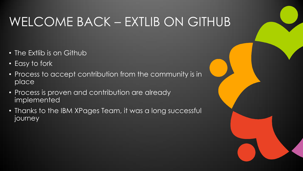#### WELCOME BACK – EXTLIB ON GITHUB

- The Extlib is on Github
- Easy to fork
- Process to accept contribution from the community is in place
- Process is proven and contribution are already implemented
- Thanks to the IBM XPages Team, it was a long successful journey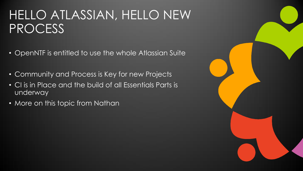#### HELLO ATLASSIAN, HELLO NEW PROCESS

- OpenNTF is entitled to use the whole Atlassian Suite
- Community and Process is Key for new Projects
- CI is in Place and the build of all Essentials Parts is underway
- More on this topic from Nathan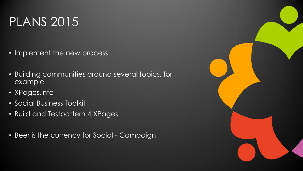#### PLANS 2015

- Implement the new process
- Building communities around several topics, for example
- XPages.info
- Social Business Toolkit
- Build and Testpattern 4 XPages
- Beer is the currency for Social Campaign

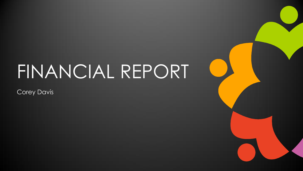# FINANCIAL REPORT

Corey Davis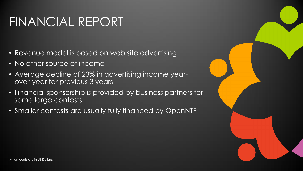### FINANCIAL REPORT

- Revenue model is based on web site advertising
- No other source of income
- Average decline of 23% in advertising income yearover-year for previous 3 years
- Financial sponsorship is provided by business partners for some large contests
- Smaller contests are usually fully financed by OpenNTF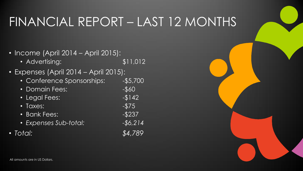#### FINANCIAL REPORT – LAST 12 MONTHS

- Income (April 2014 April 2015):
	- Advertising: \$11,012
- Expenses (April 2014 April 2015):
	- Conference Sponsorships: -\$5,700
	- Domain Fees: 460
	- Legal Fees:  $\frac{142}{2}$
	- Taxes:  $\sqrt{375}$
	- Bank Fees: -\$237
	- *Expenses Sub-total: -\$6,214*
- *Total: \$4,789*

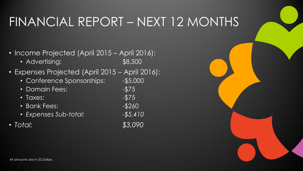### FINANCIAL REPORT – NEXT 12 MONTHS

- Income Projected (April 2015 April 2016):
	- Advertising: \$8,500
- Expenses Projected (April 2015 April 2016):
	- Conference Sponsorships: 45,000
	- Domain Fees: 475
	- Taxes:  $\sqrt{375}$
	- Bank Fees: 3260
	- *Expenses Sub-total: -\$5,410*
- *Total: \$3,090*

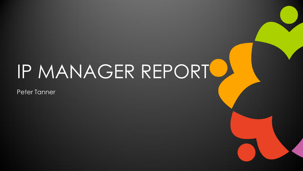# IP MANAGER REPORT

Peter Tanner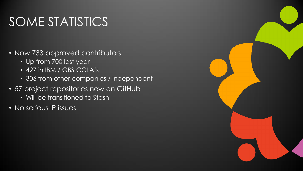# SOME STATISTICS

- Now 733 approved contributors
	- Up from 700 last year
	- 427 in IBM / GBS CCLA's
	- 306 from other companies / independent
- 57 project repositories now on GitHub
	- Will be transitioned to Stash
- No serious IP issues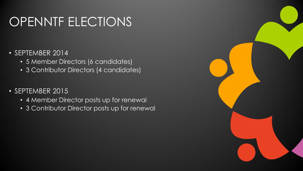# OPENNTF ELECTIONS

- SEPTEMBER 2014
	- 5 Member Directors (6 candidates)
	- 3 Contributor Directors (4 candidates)
- SEPTEMBER 2015
	- 4 Member Director posts up for renewal
	- 3 Contributor Director posts up for renewal

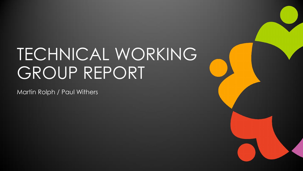# TECHNICAL WORKING GROUP REPORT

Martin Rolph / Paul Withers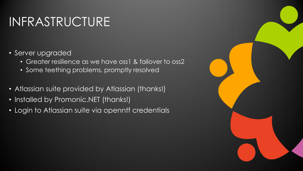#### INFRASTRUCTURE

- Server upgraded
	- Greater resilience as we have oss1 & failover to oss2
	- Some teething problems, promptly resolved
- Atlassian suite provided by Atlassian (thanks!)
- Installed by Promonic.NET (thanks!)
- Login to Atlassian suite via openntf credentials

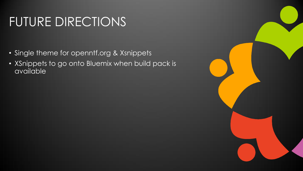### FUTURE DIRECTIONS

- Single theme for openntf.org & Xsnippets
- XSnippets to go onto Bluemix when build pack is available

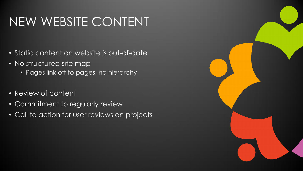## NEW WEBSITE CONTENT

- Static content on website is out-of-date
- No structured site map
	- Pages link off to pages, no hierarchy
- Review of content
- Commitment to regularly review
- Call to action for user reviews on projects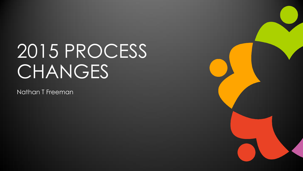# 2015 PROCESS **CHANGES**

Nathan T Freeman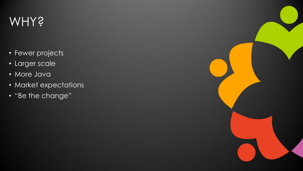#### **MHAS**

- Fewer projects
- Larger scale
- More Java
- Market expectations
- "Be the change"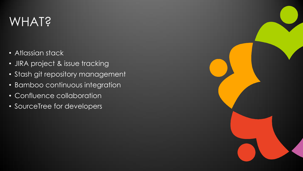#### WHAT?

- Atlassian stack
- JIRA project & issue tracking
- Stash git repository management
- Bamboo continuous integration
- Confluence collaboration
- SourceTree for developers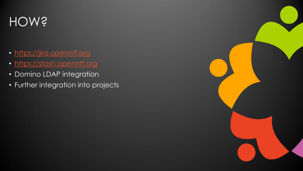#### HOW<sub>S.</sub>

- [https://jira.openntf.org](https://jira.openntf.org/)
- [https://stash.openntf.org](https://stash.openntf.org/)
- Domino LDAP integration
- Further integration into projects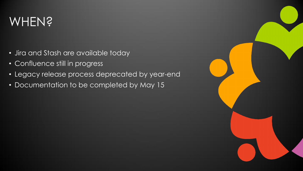#### **WHEN?**

- Jira and Stash are available today
- Confluence still in progress
- Legacy release process deprecated by year-end
- Documentation to be completed by May 15

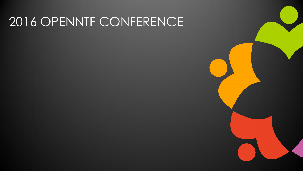## 2016 OPENNTF CONFERENCE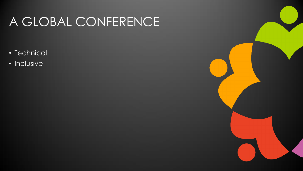## A GLOBAL CONFERENCE

- Technical
- Inclusive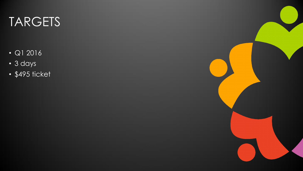## TARGETS

- Q1 2016
- 3 days
- \$495 ticket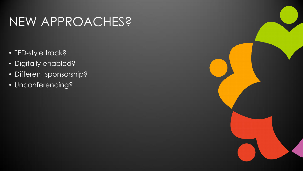### NEW APPROACHES?

- TED-style track?
- Digitally enabled?
- Different sponsorship?
- Unconferencing?

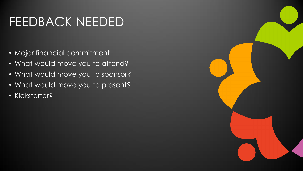### FEEDBACK NEEDED

- Major financial commitment
- What would move you to attend?
- What would move you to sponsor?
- What would move you to present?
- Kickstarter?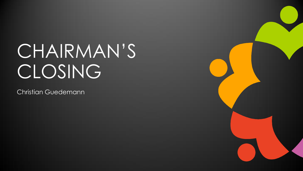# CHAIRMAN'S CLOSING

Christian Guedemann